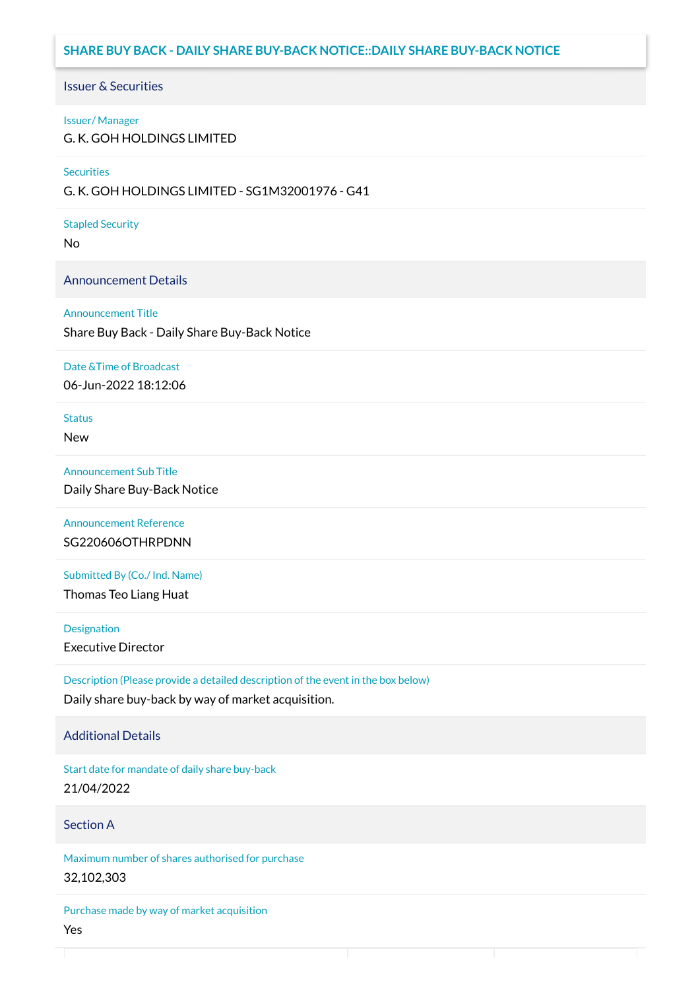# **SHARE BUY BACK - DAILY SHARE BUY-BACK NOTICE::DAILY SHARE BUY-BACK NOTICE**

#### Issuer & Securities

#### Issuer/ Manager

G. K. GOH HOLDINGS LIMITED

#### **Securities**

G. K. GOH HOLDINGS LIMITED - SG1M32001976 - G41

#### Stapled Security

No

## Announcement Details

#### Announcement Title

Share Buy Back - Daily Share Buy-Back Notice

#### Date &Time of Broadcast

06-Jun-2022 18:12:06

# **Status**

New

## Announcement Sub Title

Daily Share Buy-Back Notice

## Announcement Reference SG220606OTHRPDNN

Submitted By (Co./ Ind. Name)

Thomas Teo Liang Huat

**Designation** 

Executive Director

Description (Please provide a detailed description of the event in the box below) Daily share buy-back by way of market acquisition.

## Additional Details

Start date for mandate of daily share buy-back 21/04/2022

## Section A

Maximum number of shares authorised for purchase 32,102,303

Purchase made by way of market acquisition Yes